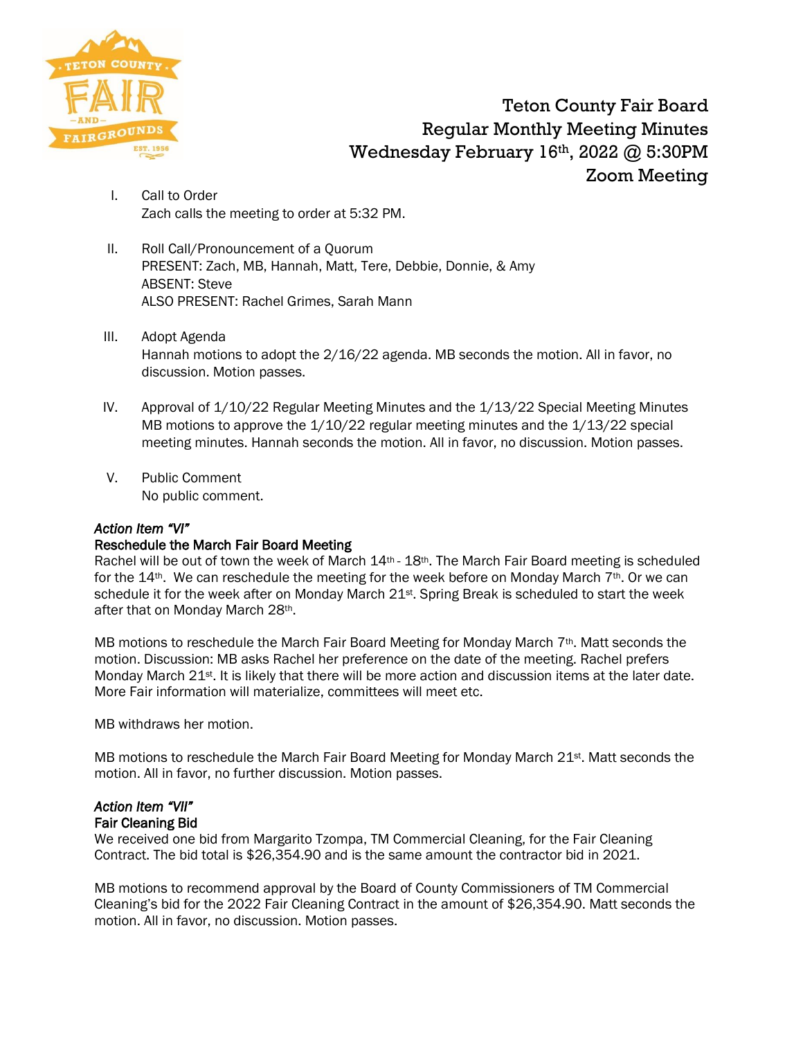

Teton County Fair Board Regular Monthly Meeting Minutes Wednesday February 16th, 2022 @ 5:30PM Zoom Meeting

- I. Call to Order Zach calls the meeting to order at 5:32 PM.
- II. Roll Call/Pronouncement of a Quorum PRESENT: Zach, MB, Hannah, Matt, Tere, Debbie, Donnie, & Amy ABSENT: Steve ALSO PRESENT: Rachel Grimes, Sarah Mann
- III. Adopt Agenda Hannah motions to adopt the 2/16/22 agenda. MB seconds the motion. All in favor, no discussion. Motion passes.
- IV. Approval of 1/10/22 Regular Meeting Minutes and the 1/13/22 Special Meeting Minutes MB motions to approve the  $1/10/22$  regular meeting minutes and the  $1/13/22$  special meeting minutes. Hannah seconds the motion. All in favor, no discussion. Motion passes.
- V. Public Comment No public comment.

### *Action Item "VI"*

#### Reschedule the March Fair Board Meeting

Rachel will be out of town the week of March 14<sup>th</sup> - 18<sup>th</sup>. The March Fair Board meeting is scheduled for the  $14$ <sup>th</sup>. We can reschedule the meeting for the week before on Monday March  $7$ <sup>th</sup>. Or we can schedule it for the week after on Monday March 21st. Spring Break is scheduled to start the week after that on Monday March 28th.

MB motions to reschedule the March Fair Board Meeting for Monday March  $7<sup>th</sup>$ . Matt seconds the motion. Discussion: MB asks Rachel her preference on the date of the meeting. Rachel prefers Monday March 21<sup>st</sup>. It is likely that there will be more action and discussion items at the later date. More Fair information will materialize, committees will meet etc.

MB withdraws her motion.

MB motions to reschedule the March Fair Board Meeting for Monday March 21<sup>st</sup>. Matt seconds the motion. All in favor, no further discussion. Motion passes.

# *Action Item "VII"*

Fair Cleaning Bid

We received one bid from Margarito Tzompa, TM Commercial Cleaning, for the Fair Cleaning Contract. The bid total is \$26,354.90 and is the same amount the contractor bid in 2021.

MB motions to recommend approval by the Board of County Commissioners of TM Commercial Cleaning's bid for the 2022 Fair Cleaning Contract in the amount of \$26,354.90. Matt seconds the motion. All in favor, no discussion. Motion passes.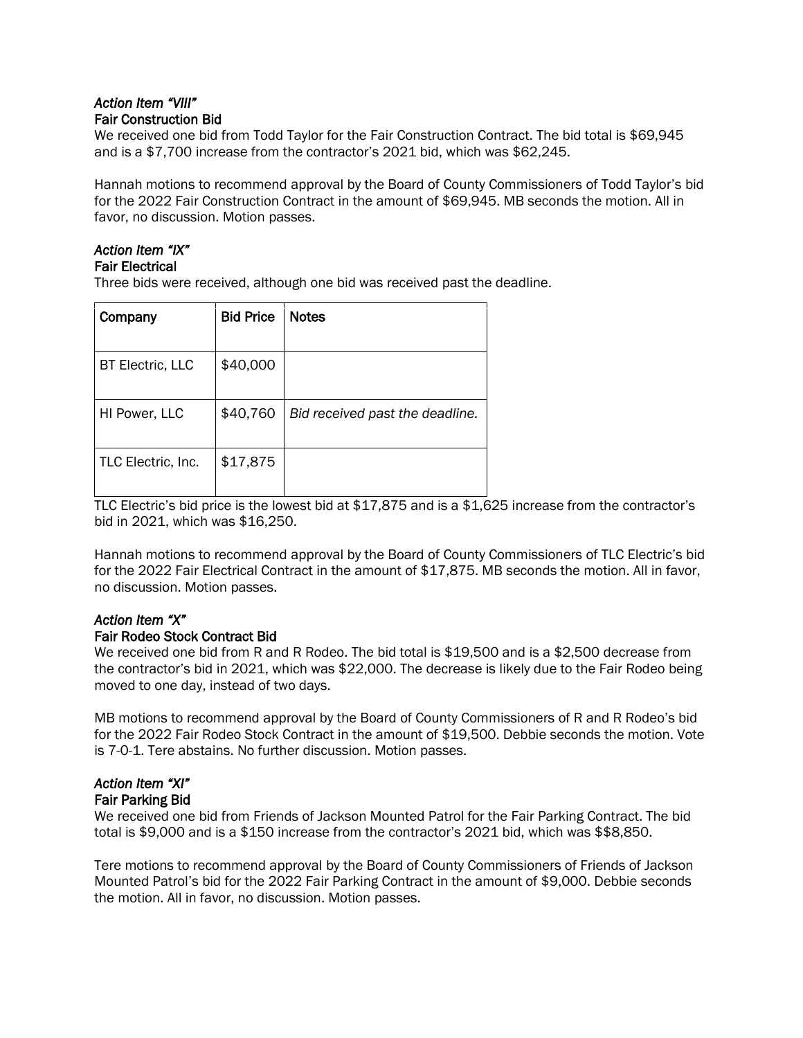### *Action Item "VIII"*  Fair Construction Bid

We received one bid from Todd Taylor for the Fair Construction Contract. The bid total is \$69,945 and is a \$7,700 increase from the contractor's 2021 bid, which was \$62,245.

Hannah motions to recommend approval by the Board of County Commissioners of Todd Taylor's bid for the 2022 Fair Construction Contract in the amount of \$69,945. MB seconds the motion. All in favor, no discussion. Motion passes.

# *Action Item "IX"*

# Fair Electrical

Three bids were received, although one bid was received past the deadline.

| Company                 | <b>Bid Price</b> | <b>Notes</b>                    |
|-------------------------|------------------|---------------------------------|
|                         |                  |                                 |
| <b>BT Electric, LLC</b> | \$40,000         |                                 |
|                         |                  |                                 |
| HI Power, LLC           | \$40,760         | Bid received past the deadline. |
|                         |                  |                                 |
| TLC Electric, Inc.      | \$17,875         |                                 |
|                         |                  |                                 |

TLC Electric's bid price is the lowest bid at \$17,875 and is a \$1,625 increase from the contractor's bid in 2021, which was \$16,250.

Hannah motions to recommend approval by the Board of County Commissioners of TLC Electric's bid for the 2022 Fair Electrical Contract in the amount of \$17,875. MB seconds the motion. All in favor, no discussion. Motion passes.

# *Action Item "X"*

### Fair Rodeo Stock Contract Bid

We received one bid from R and R Rodeo. The bid total is \$19,500 and is a \$2,500 decrease from the contractor's bid in 2021, which was \$22,000. The decrease is likely due to the Fair Rodeo being moved to one day, instead of two days.

MB motions to recommend approval by the Board of County Commissioners of R and R Rodeo's bid for the 2022 Fair Rodeo Stock Contract in the amount of \$19,500. Debbie seconds the motion. Vote is 7-0-1. Tere abstains. No further discussion. Motion passes.

#### *Action Item "XI"*  Fair Parking Bid

We received one bid from Friends of Jackson Mounted Patrol for the Fair Parking Contract. The bid total is \$9,000 and is a \$150 increase from the contractor's 2021 bid, which was \$\$8,850.

Tere motions to recommend approval by the Board of County Commissioners of Friends of Jackson Mounted Patrol's bid for the 2022 Fair Parking Contract in the amount of \$9,000. Debbie seconds the motion. All in favor, no discussion. Motion passes.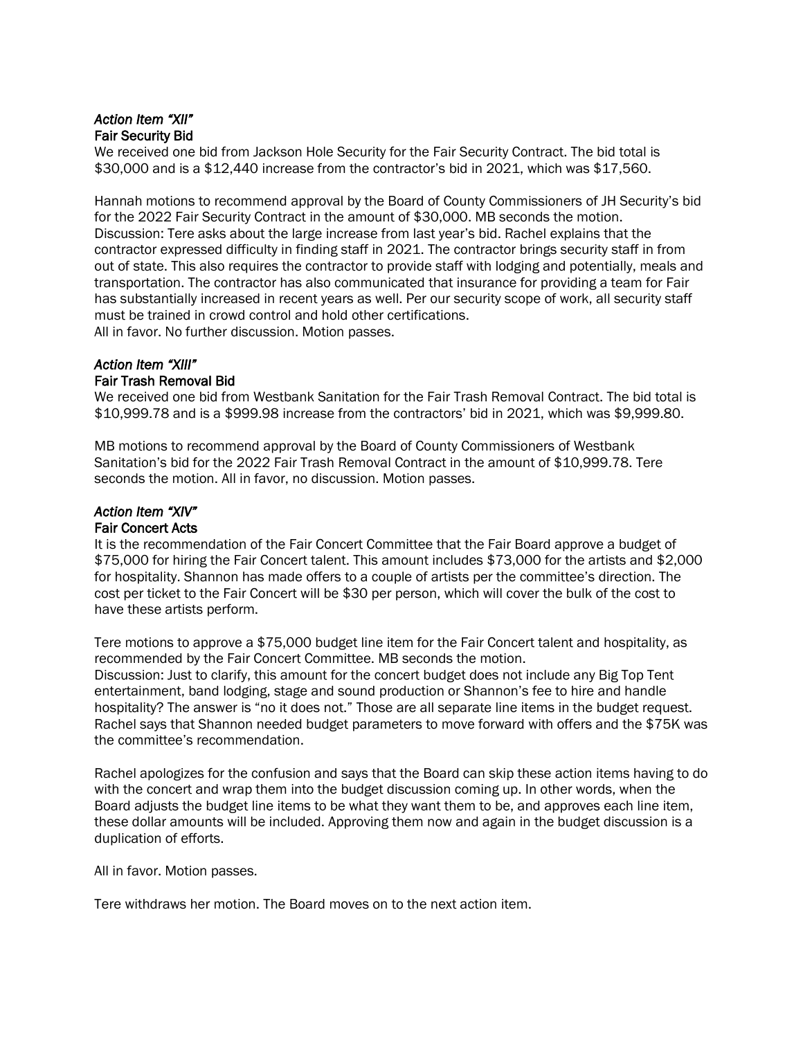### *Action Item "XII"*  Fair Security Bid

We received one bid from Jackson Hole Security for the Fair Security Contract. The bid total is \$30,000 and is a \$12,440 increase from the contractor's bid in 2021, which was \$17,560.

Hannah motions to recommend approval by the Board of County Commissioners of JH Security's bid for the 2022 Fair Security Contract in the amount of \$30,000. MB seconds the motion. Discussion: Tere asks about the large increase from last year's bid. Rachel explains that the contractor expressed difficulty in finding staff in 2021. The contractor brings security staff in from out of state. This also requires the contractor to provide staff with lodging and potentially, meals and transportation. The contractor has also communicated that insurance for providing a team for Fair has substantially increased in recent years as well. Per our security scope of work, all security staff must be trained in crowd control and hold other certifications. All in favor. No further discussion. Motion passes.

#### *Action Item "XIII"*  Fair Trash Removal Bid

We received one bid from Westbank Sanitation for the Fair Trash Removal Contract. The bid total is \$10,999.78 and is a \$999.98 increase from the contractors' bid in 2021, which was \$9,999.80.

MB motions to recommend approval by the Board of County Commissioners of Westbank Sanitation's bid for the 2022 Fair Trash Removal Contract in the amount of \$10,999.78. Tere seconds the motion. All in favor, no discussion. Motion passes.

## *Action Item "XIV"*  Fair Concert Acts

It is the recommendation of the Fair Concert Committee that the Fair Board approve a budget of \$75,000 for hiring the Fair Concert talent. This amount includes \$73,000 for the artists and \$2,000 for hospitality. Shannon has made offers to a couple of artists per the committee's direction. The cost per ticket to the Fair Concert will be \$30 per person, which will cover the bulk of the cost to have these artists perform.

Tere motions to approve a \$75,000 budget line item for the Fair Concert talent and hospitality, as recommended by the Fair Concert Committee. MB seconds the motion.

Discussion: Just to clarify, this amount for the concert budget does not include any Big Top Tent entertainment, band lodging, stage and sound production or Shannon's fee to hire and handle hospitality? The answer is "no it does not." Those are all separate line items in the budget request. Rachel says that Shannon needed budget parameters to move forward with offers and the \$75K was the committee's recommendation.

Rachel apologizes for the confusion and says that the Board can skip these action items having to do with the concert and wrap them into the budget discussion coming up. In other words, when the Board adjusts the budget line items to be what they want them to be, and approves each line item, these dollar amounts will be included. Approving them now and again in the budget discussion is a duplication of efforts.

All in favor. Motion passes.

Tere withdraws her motion. The Board moves on to the next action item.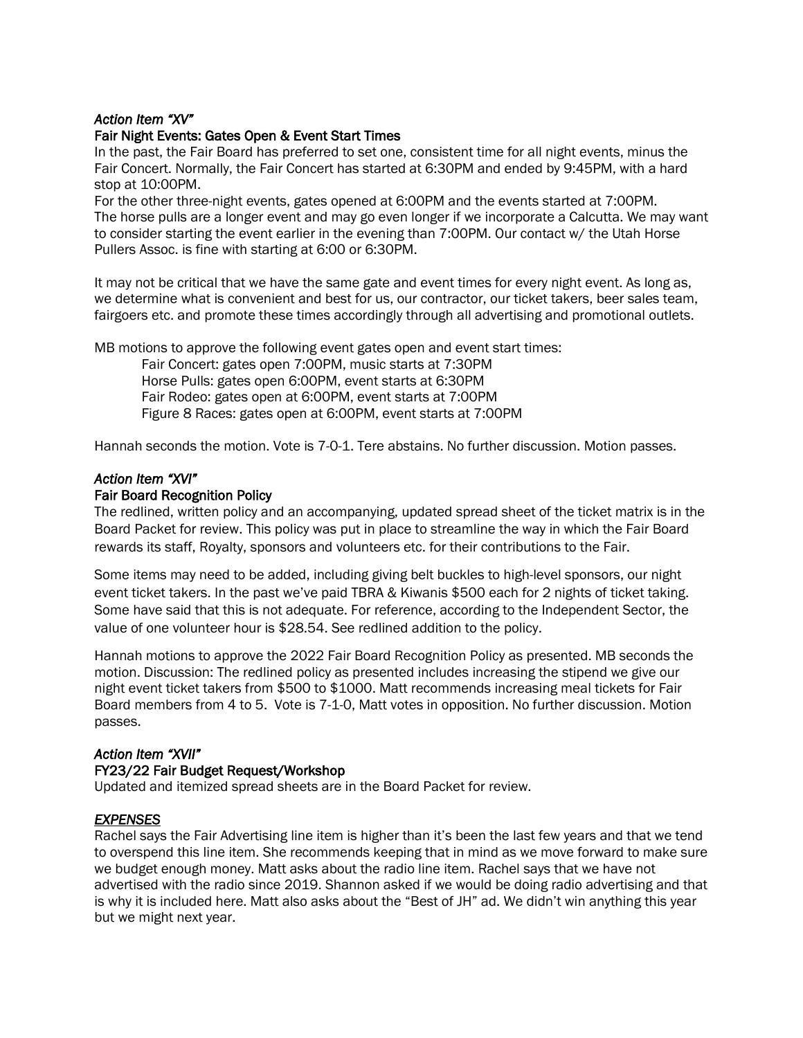#### *Action Item "XV"*

#### Fair Night Events: Gates Open & Event Start Times

In the past, the Fair Board has preferred to set one, consistent time for all night events, minus the Fair Concert. Normally, the Fair Concert has started at 6:30PM and ended by 9:45PM, with a hard stop at 10:00PM.

For the other three-night events, gates opened at 6:00PM and the events started at 7:00PM. The horse pulls are a longer event and may go even longer if we incorporate a Calcutta. We may want to consider starting the event earlier in the evening than 7:00PM. Our contact w/ the Utah Horse Pullers Assoc. is fine with starting at 6:00 or 6:30PM.

It may not be critical that we have the same gate and event times for every night event. As long as, we determine what is convenient and best for us, our contractor, our ticket takers, beer sales team, fairgoers etc. and promote these times accordingly through all advertising and promotional outlets.

MB motions to approve the following event gates open and event start times:

Fair Concert: gates open 7:00PM, music starts at 7:30PM Horse Pulls: gates open 6:00PM, event starts at 6:30PM Fair Rodeo: gates open at 6:00PM, event starts at 7:00PM Figure 8 Races: gates open at 6:00PM, event starts at 7:00PM

Hannah seconds the motion. Vote is 7-0-1. Tere abstains. No further discussion. Motion passes.

#### *Action Item "XVI"*

#### Fair Board Recognition Policy

The redlined, written policy and an accompanying, updated spread sheet of the ticket matrix is in the Board Packet for review. This policy was put in place to streamline the way in which the Fair Board rewards its staff, Royalty, sponsors and volunteers etc. for their contributions to the Fair.

Some items may need to be added, including giving belt buckles to high-level sponsors, our night event ticket takers. In the past we've paid TBRA & Kiwanis \$500 each for 2 nights of ticket taking. Some have said that this is not adequate. For reference, according to the Independent Sector, the value of one volunteer hour is \$28.54. See redlined addition to the policy.

Hannah motions to approve the 2022 Fair Board Recognition Policy as presented. MB seconds the motion. Discussion: The redlined policy as presented includes increasing the stipend we give our night event ticket takers from \$500 to \$1000. Matt recommends increasing meal tickets for Fair Board members from 4 to 5. Vote is 7-1-0, Matt votes in opposition. No further discussion. Motion passes.

### *Action Item "XVII"*

#### FY23/22 Fair Budget Request/Workshop

Updated and itemized spread sheets are in the Board Packet for review.

#### *EXPENSES*

Rachel says the Fair Advertising line item is higher than it's been the last few years and that we tend to overspend this line item. She recommends keeping that in mind as we move forward to make sure we budget enough money. Matt asks about the radio line item. Rachel says that we have not advertised with the radio since 2019. Shannon asked if we would be doing radio advertising and that is why it is included here. Matt also asks about the "Best of JH" ad. We didn't win anything this year but we might next year.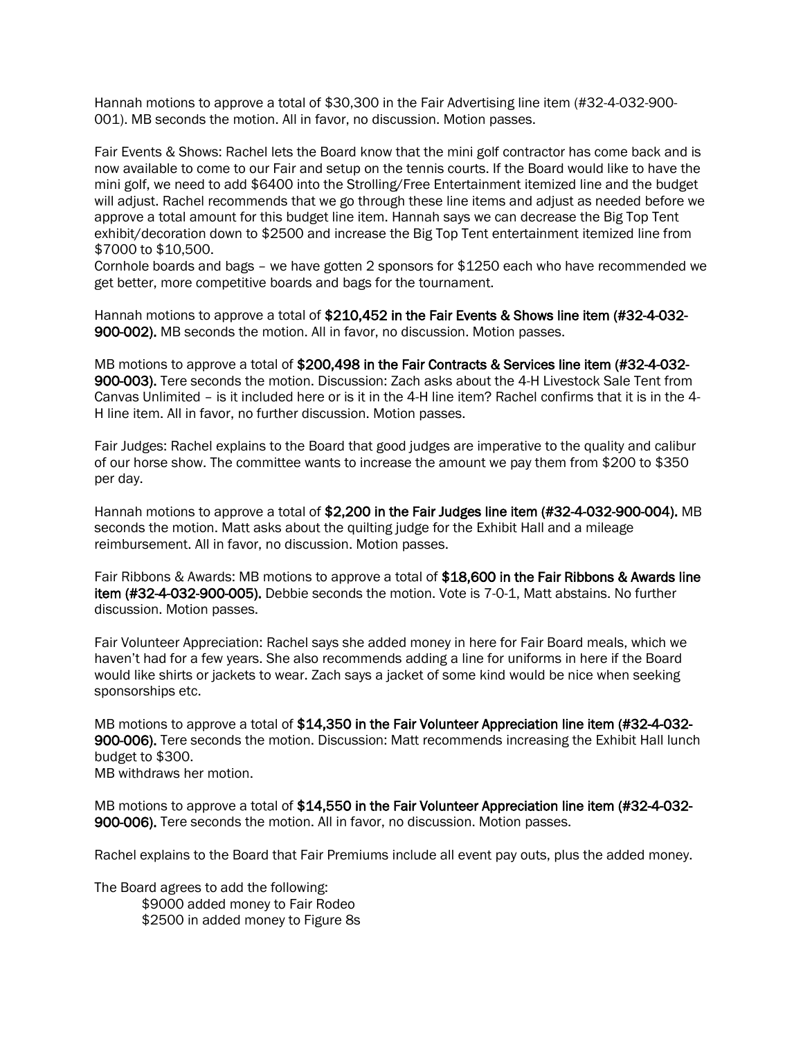Hannah motions to approve a total of \$30,300 in the Fair Advertising line item (#32-4-032-900- 001). MB seconds the motion. All in favor, no discussion. Motion passes.

Fair Events & Shows: Rachel lets the Board know that the mini golf contractor has come back and is now available to come to our Fair and setup on the tennis courts. If the Board would like to have the mini golf, we need to add \$6400 into the Strolling/Free Entertainment itemized line and the budget will adjust. Rachel recommends that we go through these line items and adjust as needed before we approve a total amount for this budget line item. Hannah says we can decrease the Big Top Tent exhibit/decoration down to \$2500 and increase the Big Top Tent entertainment itemized line from \$7000 to \$10,500.

Cornhole boards and bags – we have gotten 2 sponsors for \$1250 each who have recommended we get better, more competitive boards and bags for the tournament.

Hannah motions to approve a total of \$210,452 in the Fair Events & Shows line item (#32-4-032-900-002). MB seconds the motion. All in favor, no discussion. Motion passes.

MB motions to approve a total of \$200,498 in the Fair Contracts & Services line item (#32-4-032-900-003). Tere seconds the motion. Discussion: Zach asks about the 4-H Livestock Sale Tent from Canvas Unlimited – is it included here or is it in the 4-H line item? Rachel confirms that it is in the 4- H line item. All in favor, no further discussion. Motion passes.

Fair Judges: Rachel explains to the Board that good judges are imperative to the quality and calibur of our horse show. The committee wants to increase the amount we pay them from \$200 to \$350 per day.

Hannah motions to approve a total of \$2,200 in the Fair Judges line item (#32-4-032-900-004). MB seconds the motion. Matt asks about the quilting judge for the Exhibit Hall and a mileage reimbursement. All in favor, no discussion. Motion passes.

Fair Ribbons & Awards: MB motions to approve a total of \$18,600 in the Fair Ribbons & Awards line item (#32-4-032-900-005). Debbie seconds the motion. Vote is 7-0-1, Matt abstains. No further discussion. Motion passes.

Fair Volunteer Appreciation: Rachel says she added money in here for Fair Board meals, which we haven't had for a few years. She also recommends adding a line for uniforms in here if the Board would like shirts or jackets to wear. Zach says a jacket of some kind would be nice when seeking sponsorships etc.

MB motions to approve a total of \$14,350 in the Fair Volunteer Appreciation line item (#32-4-032-900-006). Tere seconds the motion. Discussion: Matt recommends increasing the Exhibit Hall lunch budget to \$300. MB withdraws her motion.

MB motions to approve a total of \$14,550 in the Fair Volunteer Appreciation line item (#32-4-032-900-006). Tere seconds the motion. All in favor, no discussion. Motion passes.

Rachel explains to the Board that Fair Premiums include all event pay outs, plus the added money.

The Board agrees to add the following: \$9000 added money to Fair Rodeo \$2500 in added money to Figure 8s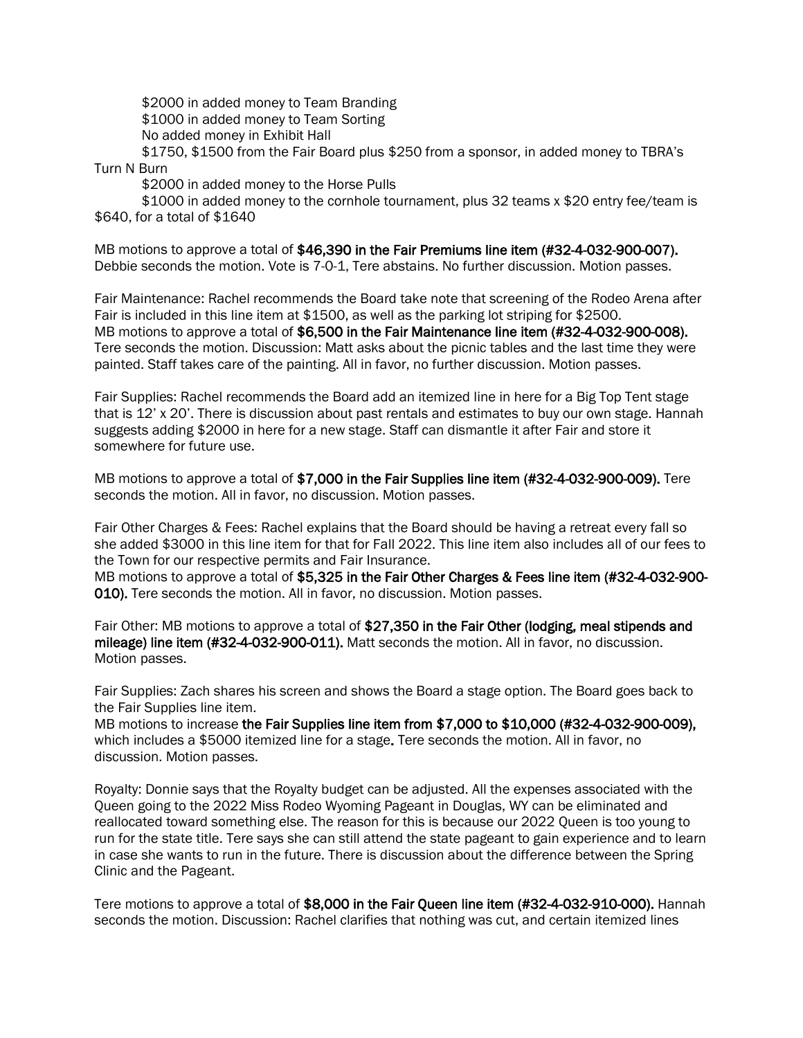\$2000 in added money to Team Branding \$1000 in added money to Team Sorting No added money in Exhibit Hall

\$1750, \$1500 from the Fair Board plus \$250 from a sponsor, in added money to TBRA's Turn N Burn

\$2000 in added money to the Horse Pulls

\$1000 in added money to the cornhole tournament, plus 32 teams x \$20 entry fee/team is \$640, for a total of \$1640

MB motions to approve a total of \$46,390 in the Fair Premiums line item (#32-4-032-900-007). Debbie seconds the motion. Vote is 7-0-1, Tere abstains. No further discussion. Motion passes.

Fair Maintenance: Rachel recommends the Board take note that screening of the Rodeo Arena after Fair is included in this line item at \$1500, as well as the parking lot striping for \$2500. MB motions to approve a total of \$6,500 in the Fair Maintenance line item (#32-4-032-900-008). Tere seconds the motion. Discussion: Matt asks about the picnic tables and the last time they were painted. Staff takes care of the painting. All in favor, no further discussion. Motion passes.

Fair Supplies: Rachel recommends the Board add an itemized line in here for a Big Top Tent stage that is 12' x 20'. There is discussion about past rentals and estimates to buy our own stage. Hannah suggests adding \$2000 in here for a new stage. Staff can dismantle it after Fair and store it somewhere for future use.

MB motions to approve a total of \$7,000 in the Fair Supplies line item (#32-4-032-900-009). Tere seconds the motion. All in favor, no discussion. Motion passes.

Fair Other Charges & Fees: Rachel explains that the Board should be having a retreat every fall so she added \$3000 in this line item for that for Fall 2022. This line item also includes all of our fees to the Town for our respective permits and Fair Insurance.

MB motions to approve a total of \$5,325 in the Fair Other Charges & Fees line item (#32-4-032-900-010). Tere seconds the motion. All in favor, no discussion. Motion passes.

Fair Other: MB motions to approve a total of \$27,350 in the Fair Other (lodging, meal stipends and mileage) line item (#32-4-032-900-011). Matt seconds the motion. All in favor, no discussion. Motion passes.

Fair Supplies: Zach shares his screen and shows the Board a stage option. The Board goes back to the Fair Supplies line item.

MB motions to increase the Fair Supplies line item from \$7,000 to \$10,000 (#32-4-032-900-009), which includes a \$5000 itemized line for a stage. Tere seconds the motion. All in favor, no discussion. Motion passes.

Royalty: Donnie says that the Royalty budget can be adjusted. All the expenses associated with the Queen going to the 2022 Miss Rodeo Wyoming Pageant in Douglas, WY can be eliminated and reallocated toward something else. The reason for this is because our 2022 Queen is too young to run for the state title. Tere says she can still attend the state pageant to gain experience and to learn in case she wants to run in the future. There is discussion about the difference between the Spring Clinic and the Pageant.

Tere motions to approve a total of \$8,000 in the Fair Queen line item (#32-4-032-910-000). Hannah seconds the motion. Discussion: Rachel clarifies that nothing was cut, and certain itemized lines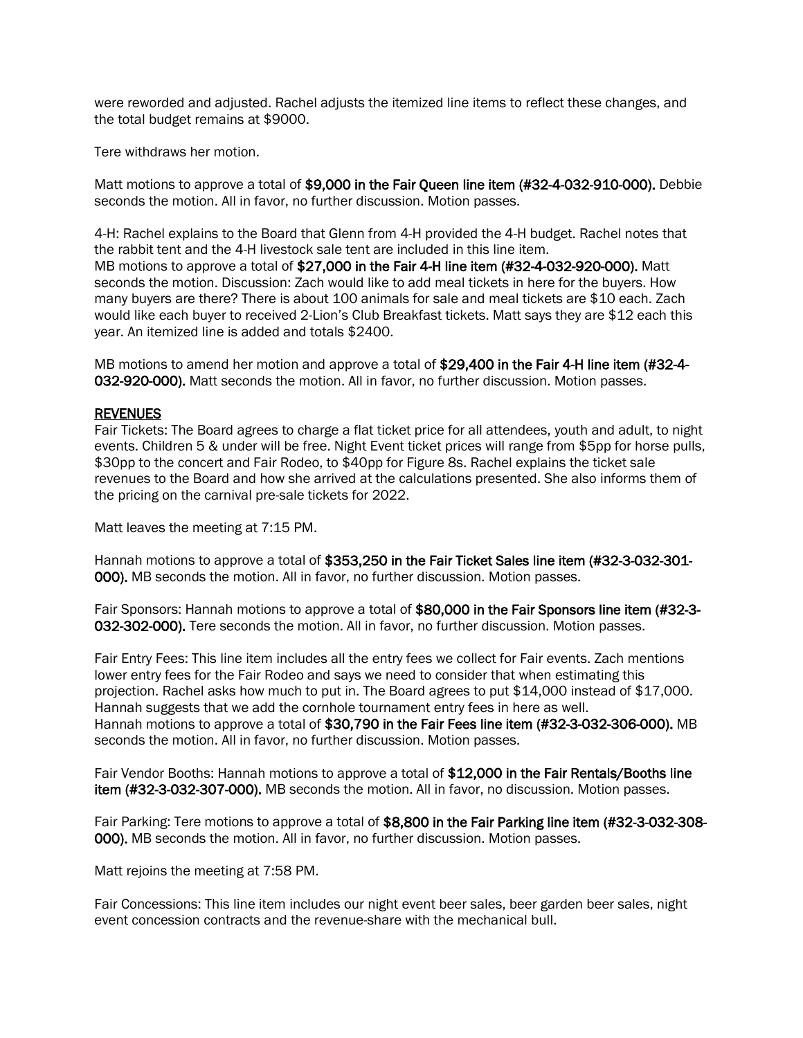were reworded and adjusted. Rachel adjusts the itemized line items to reflect these changes, and the total budget remains at \$9000.

Tere withdraws her motion.

Matt motions to approve a total of \$9,000 in the Fair Queen line item (#32-4-032-910-000). Debbie seconds the motion. All in favor, no further discussion. Motion passes.

4-H: Rachel explains to the Board that Glenn from 4-H provided the 4-H budget. Rachel notes that the rabbit tent and the 4-H livestock sale tent are included in this line item. MB motions to approve a total of \$27,000 in the Fair 4-H line item (#32-4-032-920-000). Matt seconds the motion. Discussion: Zach would like to add meal tickets in here for the buyers. How many buyers are there? There is about 100 animals for sale and meal tickets are \$10 each. Zach would like each buyer to received 2-Lion's Club Breakfast tickets. Matt says they are \$12 each this year. An itemized line is added and totals \$2400.

MB motions to amend her motion and approve a total of \$29,400 in the Fair 4-H line item (#32-4-032-920-000). Matt seconds the motion. All in favor, no further discussion. Motion passes.

#### REVENUES

Fair Tickets: The Board agrees to charge a flat ticket price for all attendees, youth and adult, to night events. Children 5 & under will be free. Night Event ticket prices will range from \$5pp for horse pulls, \$30pp to the concert and Fair Rodeo, to \$40pp for Figure 8s. Rachel explains the ticket sale revenues to the Board and how she arrived at the calculations presented. She also informs them of the pricing on the carnival pre-sale tickets for 2022.

Matt leaves the meeting at 7:15 PM.

Hannah motions to approve a total of \$353,250 in the Fair Ticket Sales line item (#32-3-032-301- 000). MB seconds the motion. All in favor, no further discussion. Motion passes.

Fair Sponsors: Hannah motions to approve a total of \$80,000 in the Fair Sponsors line item (#32-3- 032-302-000). Tere seconds the motion. All in favor, no further discussion. Motion passes.

Fair Entry Fees: This line item includes all the entry fees we collect for Fair events. Zach mentions lower entry fees for the Fair Rodeo and says we need to consider that when estimating this projection. Rachel asks how much to put in. The Board agrees to put \$14,000 instead of \$17,000. Hannah suggests that we add the cornhole tournament entry fees in here as well. Hannah motions to approve a total of \$30,790 in the Fair Fees line item (#32-3-032-306-000). MB seconds the motion. All in favor, no further discussion. Motion passes.

Fair Vendor Booths: Hannah motions to approve a total of \$12,000 in the Fair Rentals/Booths line item (#32-3-032-307-000). MB seconds the motion. All in favor, no discussion. Motion passes.

Fair Parking: Tere motions to approve a total of \$8,800 in the Fair Parking line item (#32-3-032-308-000). MB seconds the motion. All in favor, no further discussion. Motion passes.

Matt rejoins the meeting at 7:58 PM.

Fair Concessions: This line item includes our night event beer sales, beer garden beer sales, night event concession contracts and the revenue-share with the mechanical bull.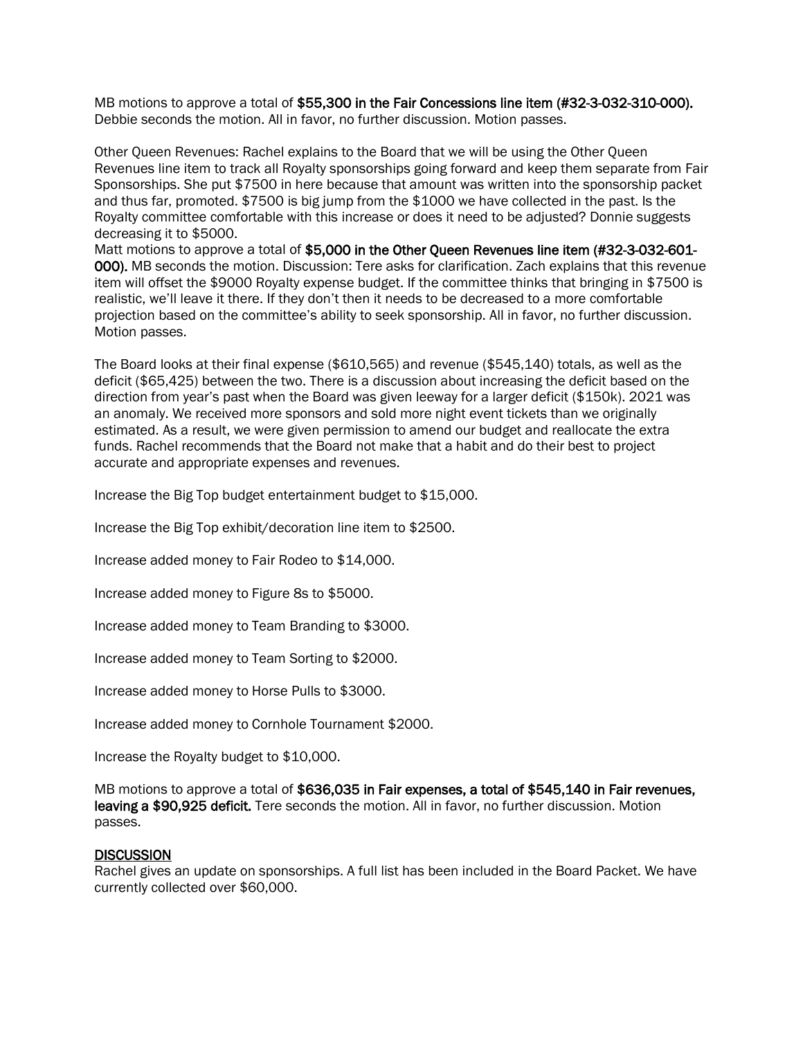MB motions to approve a total of \$55,300 in the Fair Concessions line item (#32-3-032-310-000). Debbie seconds the motion. All in favor, no further discussion. Motion passes.

Other Queen Revenues: Rachel explains to the Board that we will be using the Other Queen Revenues line item to track all Royalty sponsorships going forward and keep them separate from Fair Sponsorships. She put \$7500 in here because that amount was written into the sponsorship packet and thus far, promoted. \$7500 is big jump from the \$1000 we have collected in the past. Is the Royalty committee comfortable with this increase or does it need to be adjusted? Donnie suggests decreasing it to \$5000.

Matt motions to approve a total of \$5,000 in the Other Queen Revenues line item (#32-3-032-601- 000). MB seconds the motion. Discussion: Tere asks for clarification. Zach explains that this revenue item will offset the \$9000 Royalty expense budget. If the committee thinks that bringing in \$7500 is realistic, we'll leave it there. If they don't then it needs to be decreased to a more comfortable projection based on the committee's ability to seek sponsorship. All in favor, no further discussion. Motion passes.

The Board looks at their final expense (\$610,565) and revenue (\$545,140) totals, as well as the deficit (\$65,425) between the two. There is a discussion about increasing the deficit based on the direction from year's past when the Board was given leeway for a larger deficit (\$150k). 2021 was an anomaly. We received more sponsors and sold more night event tickets than we originally estimated. As a result, we were given permission to amend our budget and reallocate the extra funds. Rachel recommends that the Board not make that a habit and do their best to project accurate and appropriate expenses and revenues.

Increase the Big Top budget entertainment budget to \$15,000.

Increase the Big Top exhibit/decoration line item to \$2500.

Increase added money to Fair Rodeo to \$14,000.

Increase added money to Figure 8s to \$5000.

Increase added money to Team Branding to \$3000.

Increase added money to Team Sorting to \$2000.

Increase added money to Horse Pulls to \$3000.

Increase added money to Cornhole Tournament \$2000.

Increase the Royalty budget to \$10,000.

MB motions to approve a total of \$636,035 in Fair expenses, a total of \$545,140 in Fair revenues, leaving a \$90,925 deficit. Tere seconds the motion. All in favor, no further discussion. Motion passes.

#### **DISCUSSION**

Rachel gives an update on sponsorships. A full list has been included in the Board Packet. We have currently collected over \$60,000.